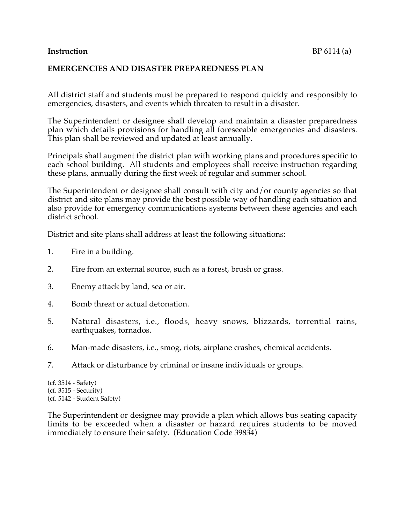## **Instruction** BP 6114 (a)

## **EMERGENCIES AND DISASTER PREPAREDNESS PLAN**

All district staff and students must be prepared to respond quickly and responsibly to emergencies, disasters, and events which threaten to result in a disaster.

The Superintendent or designee shall develop and maintain a disaster preparedness plan which details provisions for handling all foreseeable emergencies and disasters. This plan shall be reviewed and updated at least annually.

Principals shall augment the district plan with working plans and procedures specific to each school building. All students and employees shall receive instruction regarding these plans, annually during the first week of regular and summer school.

The Superintendent or designee shall consult with city and/or county agencies so that district and site plans may provide the best possible way of handling each situation and also provide for emergency communications systems between these agencies and each district school.

District and site plans shall address at least the following situations:

- 1. Fire in a building.
- 2. Fire from an external source, such as a forest, brush or grass.
- 3. Enemy attack by land, sea or air.
- 4. Bomb threat or actual detonation.
- 5. Natural disasters, i.e., floods, heavy snows, blizzards, torrential rains, earthquakes, tornados.
- 6. Man-made disasters, i.e., smog, riots, airplane crashes, chemical accidents.
- 7. Attack or disturbance by criminal or insane individuals or groups.

(cf. 3514 - Safety) (cf. 3515 - Security) (cf. 5142 - Student Safety)

The Superintendent or designee may provide a plan which allows bus seating capacity limits to be exceeded when a disaster or hazard requires students to be moved immediately to ensure their safety. (Education Code 39834)